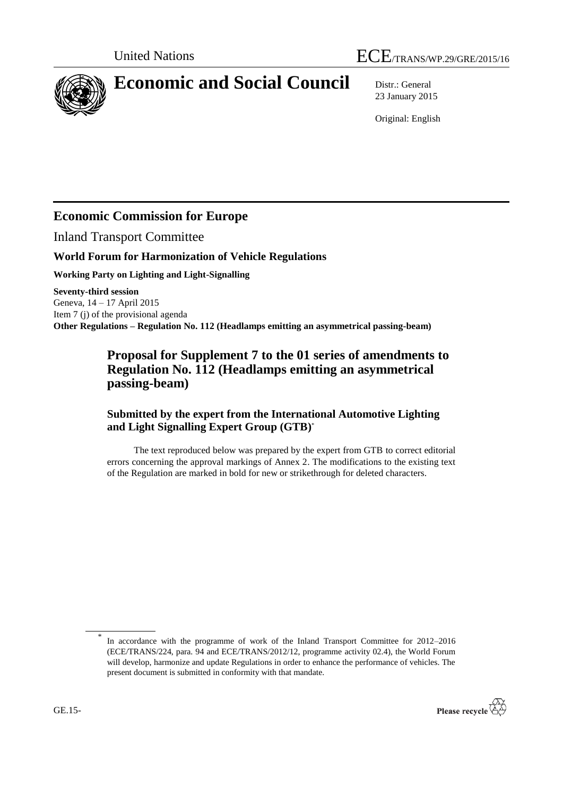

# **Economic and Social Council** Distr.: General

23 January 2015

Original: English

## **Economic Commission for Europe**

Inland Transport Committee

## **World Forum for Harmonization of Vehicle Regulations**

**Working Party on Lighting and Light-Signalling**

**Seventy-third session** Geneva, 14 – 17 April 2015 Item 7 (j) of the provisional agenda **Other Regulations – Regulation No. 112 (Headlamps emitting an asymmetrical passing-beam)**

## **Proposal for Supplement 7 to the 01 series of amendments to Regulation No. 112 (Headlamps emitting an asymmetrical passing-beam)**

## **Submitted by the expert from the International Automotive Lighting and Light Signalling Expert Group (GTB)** \*

The text reproduced below was prepared by the expert from GTB to correct editorial errors concerning the approval markings of Annex 2. The modifications to the existing text of the Regulation are marked in bold for new or strikethrough for deleted characters.

In accordance with the programme of work of the Inland Transport Committee for 2012–2016 (ECE/TRANS/224, para. 94 and ECE/TRANS/2012/12, programme activity 02.4), the World Forum will develop, harmonize and update Regulations in order to enhance the performance of vehicles. The present document is submitted in conformity with that mandate.



\*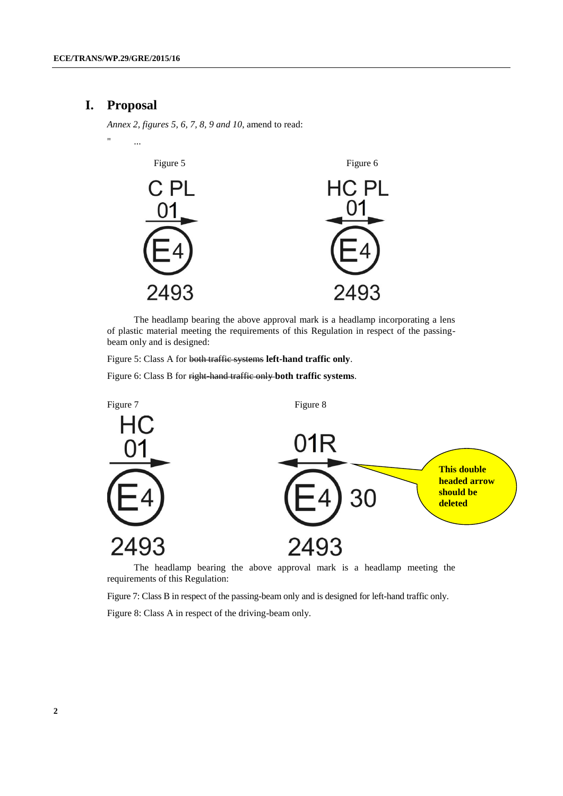## **I. Proposal**

*Annex 2, figures 5, 6, 7, 8, 9 and 10*, amend to read:



The headlamp bearing the above approval mark is a headlamp incorporating a lens of plastic material meeting the requirements of this Regulation in respect of the passingbeam only and is designed:

Figure 5: Class A for both traffic systems **left-hand traffic only**.

Figure 6: Class B for right-hand traffic only **both traffic systems**.



The headlamp bearing the above approval mark is a headlamp meeting the requirements of this Regulation:

Figure 7: Class B in respect of the passing-beam only and is designed for left-hand traffic only.

Figure 8: Class A in respect of the driving-beam only.